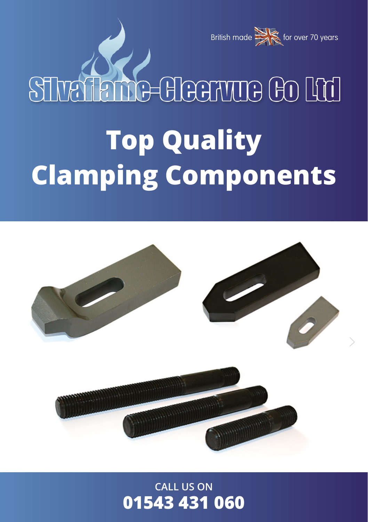

# STraikme-Hearme to Hd

# **Top Quality Clamping Components**



**CALL US ON 01543 431 060**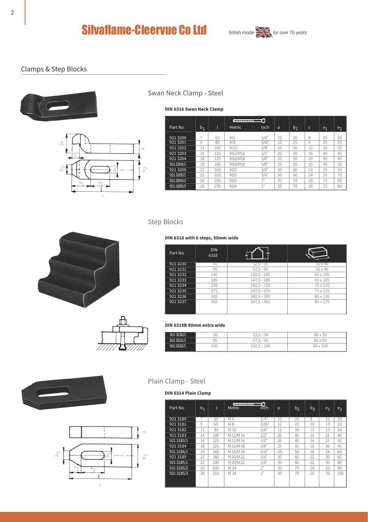

#### Clamps & Step Blocks





#### Swan Neck Clamp - Steel

**DIN 6316 Swan Neck Clamp**

|           |         |     | ----------      |                |    |       |    |                |                |
|-----------|---------|-----|-----------------|----------------|----|-------|----|----------------|----------------|
| Part No.  | $b_{1}$ |     | Metric          | inch           | a  | $b_2$ | c  | e <sub>1</sub> | e <sub>2</sub> |
| 921 3200  |         | 60  | M 6             | 1/4"           | 10 | 20    | 8  | 20             | 20             |
| 921 3201  | 9       | 80  | M <sub>8</sub>  | 5/16''         | 12 | 25    | 9  | 25             | 25             |
| 921 3202  | 11      | 100 | M10             | 3/8"           | 15 | 30    | 12 | 32             | 32             |
| 921 3203  | 14      | 125 | M12/M14         | 1/2"           | 20 | 40    | 16 | 40             | 40             |
| 921 3204  | 18      | 125 | M16/M18         | 5/8"           | 25 | 50    | 20 | 49             | 40             |
| 9213204/1 | 18      | 160 | M16/M18         | 5/8"           | 25 | 50    | 20 | 49             | 50             |
| 921 3205  | 22      | 160 | M20             | 3/4"           | 30 | 60    | 24 | 55             | 55             |
| 9213205/1 | 22      | 200 | M20             | 3/4"           | 30 | 60    | 24 | 55             | 70             |
| 9213205/2 | 26      | 200 | M <sub>24</sub> | 1 <sup>n</sup> | 35 | 70    | 28 | 72             | 60             |
| 9213205/3 | 26      | 250 | M <sub>24</sub> | 1 <sup>n</sup> | 35 | 70    | 28 | 72             | 80             |

Step Blocks





#### **DIN 6318 with 6 steps, 50mm wide**

| Part No. | <b>DIN</b><br>6318 | H<br>h        |          |
|----------|--------------------|---------------|----------|
| 921 3230 | 50                 | $12.5 - 50$   | 50 x 90  |
| 921 3231 | 95                 | $57.5 - 95$   | 55 x 95  |
| 921 3232 | 140                | $102.5 - 140$ | 60 x 100 |
| 921 3233 | 185                | $147.5 - 185$ | 65 x 105 |
| 921 3234 | 230                | $192.5 - 230$ | 70 x 110 |
| 921 3235 | 275                | $237.5 - 275$ | 75 x 115 |
| 921 3236 | 320                | $282.5 - 320$ | 80 x 120 |
| 921 3237 | 365                | $327.5 - 365$ | 85 x 125 |

#### **DIN 6318B 80mm extra wide**

| 50       | 5 - 50<br>-                                     |                                               |
|----------|-------------------------------------------------|-----------------------------------------------|
| 95       | $5 - 95$<br>ر_<br>-<br>$\overline{\phantom{a}}$ | 85 x 95<br>$\sim$                             |
| .40<br>÷ | $.5 - 140$<br>2VL                               | 10 <sup>o</sup><br>$0 \wedge v$<br><b>LUU</b> |





#### Plain Clamp - Steel

#### **DIN 6314 Plain Clamp**

| Part No.  | b <sub>1</sub> | П          | ----------<br>Metric | o<br>inch       | a           | b <sub>2</sub> | $b_3$ | e <sub>1</sub> | e <sub>2</sub> |
|-----------|----------------|------------|----------------------|-----------------|-------------|----------------|-------|----------------|----------------|
| 9213180   |                | 50         | M 6                  | 1/4"            | 10          | 20             | ८     | 10             | 20             |
| 9213181   | 9              | 60         | M <sub>8</sub>       | 3/16"           | 12          | 25             | 10    | 13             | 22             |
| 9213182   | 11             | $80^\circ$ | M 10                 | 3/8"            | 15          | 30             | 12    | 15             | 30             |
| 9213183   | 14             | 100        | M 12/M 14            | 1/2"            | 20          | 40             | 14    | 21             | 40             |
| 9213183/1 | 14             | 125        | M 12/M 14            | 1/2"            | $20 \times$ | 40             | 14    | 21             | 50             |
| 921 3184  | 18             | 125        | M 16/M 18            | 5/8"            | 25          | 50             | 18    | 26             | 45             |
| 9213184/1 | 18             | 160        | M 16/M 18            | 5/8"            | 25          | 50             | 18    | 26             | 65             |
| 921 3185  | 22             | 160        | M 20/M 22            | 3/4"            | 30          | 60             | 22    | 30             | 60             |
| 9213185/1 | 22             | 200        | M 20/M 22            | 3/4"            | 30          | 60             | 22    | 30             | 80             |
| 9213185/2 | 26             | 200        | M 24                 | 1.19            | 30          | 70             | 26    | 35             | 80             |
| 9213185/3 | 26             | 250        | M 24                 | 1 <sup>10</sup> | 30          | 70             | 26    | 35             | 105            |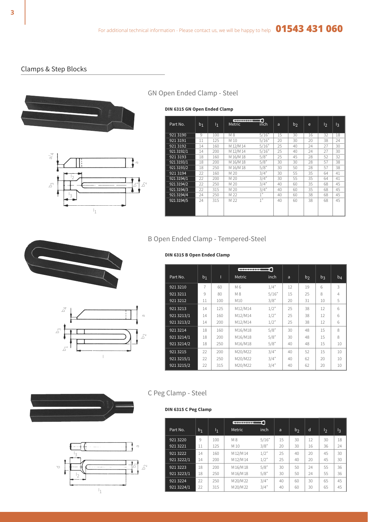#### Clamps & Step Blocks





#### GN Open Ended Clamp - Steel

**DIN 6315 GN Open Ended Clamp**

| Part No.    | b <sub>1</sub> | 1 <sub>1</sub> | ------------<br>Metric | inch           | a  | b <sub>2</sub> | e  | 12 | $\mathsf{I}_3$ |
|-------------|----------------|----------------|------------------------|----------------|----|----------------|----|----|----------------|
| 9213190     | 9              | 100            | M <sub>8</sub>         | 5/16"          | 15 | 30             | 16 | 32 | 18             |
| 9213191     | 11             | 125            | M 10                   | 5/16"          | 20 | 30             | 20 | 38 | 24             |
| 9213192     | 14             | 160            | M 12/M 14              | 5/16"          | 25 | 40             | 24 | 27 | 30             |
| 921 31 92/1 | 14             | 200            | M 12/M 14              | 5/16"          | 25 | 40             | 24 | 27 | 30             |
| 9213193     | 18             | 160            | M 16/M 18              | 5/8"           | 25 | 45             | 28 | 52 | 32             |
| 921 3193/1  | 18             | 200            | M 16/M 18              | 5/8"           | 30 | 30             | 28 | 57 | 38             |
| 921 31 93/2 | 18             | 250            | M 16/M 18              | $5/8^{n}$      | 30 | 50             | 28 | 57 | 38             |
| 9213194     | 22             | 160            | M 20                   | 3/4"           | 30 | 55             | 35 | 64 | 41             |
| 921 3194/1  | 22             | 200            | M 20                   | 3/4"           | 30 | 55             | 35 | 64 | 41             |
| 921 31 94/2 | 22             | 250            | M 20                   | 3/4"           | 40 | 60             | 35 | 68 | 45             |
| 921 31 94/3 | 22             | 315            | M 20                   | 3/4"           | 40 | 60             | 35 | 68 | 45             |
| 921 31 94/4 | 24             | 250            | M 22                   | 1 <sup>n</sup> | 40 | 60             | 38 | 68 | 45             |
| 921 31 94/5 | 24             | 315            | M 22                   | 1 <sup>n</sup> | 40 | 60             | 38 | 68 | 45             |

### B Open Ended Clamp - Tempered-Steel





#### **DIN 6315 B Open Ended Clamp**

|            |       |     | --------- | ה     |    |                |    |       |
|------------|-------|-----|-----------|-------|----|----------------|----|-------|
| Part No.   | $b_1$ | п   | Metric    | inch  | a  | b <sub>2</sub> | bι | $b_4$ |
| 921 3210   | 7     | 60  | M 6       | 1/4"  | 12 | 19             | 6  | 3     |
| 921 3211   | 9     | 80  | M 8       | 5/16" | 15 | 25             | 8  | 4     |
| 921 3212   | 11    | 100 | M10       | 3/8"  | 20 | 31             | 10 | 5     |
| 921 3213   | 14    | 125 | M12/M14   | 1/2"  | 25 | 38             | 12 | 6     |
| 921 3213/1 | 14    | 160 | M12/M14   | 1/2"  | 25 | 38             | 12 | 6     |
| 921 3213/2 | 14    | 200 | M12/M14   | 1/2"  | 25 | 38             | 12 | 6     |
| 921 3214   | 18    | 160 | M16/M18   | 5/8"  | 30 | 48             | 15 | 8     |
| 921 3214/1 | 18    | 200 | M16/M18   | 5/8"  | 30 | 48             | 15 | 8     |
| 921 3214/2 | 18    | 250 | M16/M18   | 5/8"  | 40 | 48             | 15 | 10    |
| 921 3215   | 22    | 200 | M20/M22   | 3/4"  | 40 | 52             | 15 | 10    |
| 921 3215/1 | 22    | 250 | M20/M22   | 3/4"  | 40 | 62             | 20 | 10    |
| 921 3215/2 | 22    | 315 | M20/M22   | 3/4"  | 40 | 62             | 20 | 10    |





#### C Peg Clamp - Steel

#### **DIN 6315 C Peg Clamp**

|            |                |                | ---------      | -0    |    |                |    |    |    |
|------------|----------------|----------------|----------------|-------|----|----------------|----|----|----|
| Part No.   | b <sub>1</sub> | 1 <sub>1</sub> | Metric         | inch  | a  | b <sub>2</sub> | d  | 12 | l3 |
| 921 3220   | 9              | 100            | M <sub>8</sub> | 5/16" | 15 | 30             | 12 | 30 | 18 |
| 921 3221   | 11             | 125            | M 10           | 3/8"  | 20 | 30             | 16 | 36 | 24 |
| 921 3222   | 14             | 160            | M 12/M 14      | 1/2"  | 25 | 40             | 20 | 45 | 30 |
| 921 3222/1 | 14             | 200            | M 12/M 14      | 1/2"  | 25 | 40             | 20 | 45 | 30 |
| 921 3223   | 18             | 200            | M 16/M 18      | 5/8"  | 30 | 50             | 24 | 55 | 36 |
| 921 3223/1 | 18             | 250            | M 16/M 18      | 5/8"  | 30 | 50             | 24 | 55 | 36 |
| 921 3224   | 22             | 250            | M 20/M 22      | 3/4"  | 40 | 60             | 30 | 65 | 45 |
| 921 3224/1 | 22             | 315            | M 20/M 22      | 3/4"  | 40 | 60             | 30 | 65 | 45 |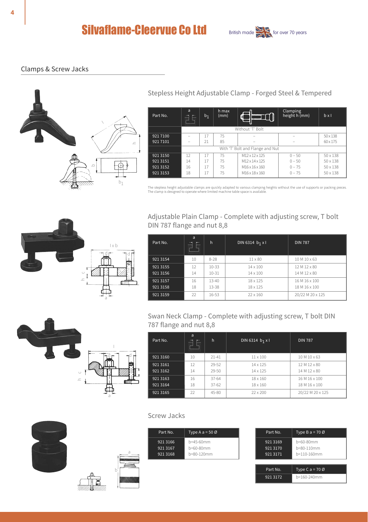# **Silvaflame-Cleervue Co Ltd** British made  $\sum_{\text{for over 70 years}}$



#### Clamps & Screw Jacks



Stepless Height Adjustable Clamp - Forged Steel & Tempered

| Part No. | a<br>$\overline{\mathcal{N}}$<br><b>CONTINUES</b> | b <sub>1</sub> | h max<br>(mm) | $\overline{\phantom{a}}$         | Clamping<br>height h (mm) | bx1             |
|----------|---------------------------------------------------|----------------|---------------|----------------------------------|---------------------------|-----------------|
|          |                                                   |                |               | Without 'T' Bolt                 |                           |                 |
| 921 7100 |                                                   | 17             | 75            | ۰                                |                           | $50 \times 138$ |
| 921 7101 |                                                   | 21             | 85            | -                                |                           | $60 \times 175$ |
|          |                                                   |                |               | With 'T' Bolt and Flange and Nut |                           |                 |
| 9213150  | 12                                                | 17             | 75            | M12 x 12 x 125                   | $0 - 50$                  | $50 \times 138$ |
| 9213151  | 14                                                | 17             | 75            | M12 x 14 x 125                   | $0 - 50$                  | $50 \times 138$ |
| 9213152  | 16                                                | 17             | 75            | M16 x 16 x 160                   | $0 - 75$                  | $50 \times 138$ |
| 9213153  | 18                                                | 17             | 75            | M16 x 18 x 160                   | $0 - 75$                  | $50 \times 138$ |

The stepless height adjustable clamps are quickly adapted to various clamping heights without the use of supports or packing pieces.<br>The clamp is designed to operate where limited machine table space is available.



h c

Adjustable Plain Clamp - Complete with adjusting screw, T bolt DIN 787 flange and nut 8,8

| Part No. | a<br>≖<br>÷<br>_ | h         | DIN 6314 b <sub>1</sub> x l | <b>DIN 787</b>   |
|----------|------------------|-----------|-----------------------------|------------------|
| 921 3154 | 10               | 8-28      | $11 \times 80$              | 10 M 10 x 63     |
| 921 3155 | 12               | $10 - 33$ | $14 \times 100$             | 12 M 12 x 80     |
| 921 3156 | 14               | $10 - 31$ | $14 \times 100$             | 14 M 12 x 80     |
| 921 3157 | 16               | $13 - 40$ | 18 x 125                    | 16 M 16 x 100    |
| 921 3158 | 18               | $13 - 38$ | 18 x 125                    | 18 M 16 x 100    |
| 921 3159 | 22               | 16-53     | 22 x 160                    | 20/22 M 20 x 125 |

Swan Neck Clamp - Complete with adjusting screw, T bolt DIN 787 flange and nut 8,8

| Part No. | a<br>$=$<br>छा | h         | DIN 6314 b <sub>1</sub> x l | <b>DIN 787</b>   |
|----------|----------------|-----------|-----------------------------|------------------|
| 921 3160 | 10             | $21 - 41$ | $11 \times 100$             | 10 M 10 x 63     |
| 921 3161 | 12             | 29-52     | $14 \times 125$             | 12 M 12 x 80     |
| 921 3162 | 14             | 29-50     | 14 x 125                    | 14 M 12 x 80     |
| 921 3163 | 16             | $37 - 64$ | 18 x 160                    | 16 M 16 x 100    |
| 921 3164 | 18             | $37 - 62$ | $18 \times 160$             | 18 M 16 x 100    |
| 921 3165 | 22             | $45 - 80$ | 22 x 200                    | 20/22 M 20 x 125 |







a

I dr 1 <del>م</del>ك

a

| Screw Jacks |  |
|-------------|--|
|             |  |

| Part No. | Type A $a = 50$ Ø |
|----------|-------------------|
| 921 3166 | $h = 45 - 60$ mm  |
| 921 3167 | $h = 60 - 80$ mm  |
| 921 3168 | h=80-120mm        |

| Part No.                         | Type B a = $70$ Ø                      |
|----------------------------------|----------------------------------------|
| 921 3169<br>921 3170<br>921 3171 | b=60-80mm<br>h=80-110mm<br>h=110-160mm |
| Part No.                         | Type C a = $70$ Ø                      |
| 921 3172                         | h=160-240mm                            |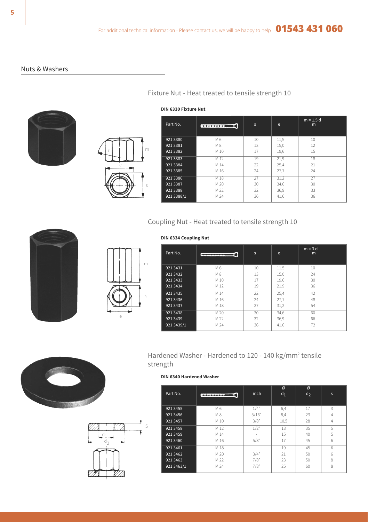Fixture Nut - Heat treated to tensile strength 10

#### Nuts & Washers





| Part No.   | --------- | s  | e    | $m = 1.5 d$<br>m |
|------------|-----------|----|------|------------------|
| 921 3380   | M 6       | 10 | 11,5 | 10               |
| 921 3381   | M 8       | 13 | 15,0 | 12               |
| 921 3382   | M 10      | 17 | 19,6 | 15               |
| 921 3383   | M 12      | 19 | 21,9 | 18               |
| 921 3384   | M 14      | 22 | 25,4 | 21               |
| 921 3385   | M 16      | 24 | 27,7 | 24               |
| 921 3386   | M 18      | 27 | 31,2 | 27               |
| 921 3387   | M 20      | 30 | 34.6 | 30               |
| 921 3388   | M 22      | 32 | 36.9 | 33               |
| 921 3388/1 | M 24      | 36 | 41,6 | 36               |

#### **DIN 6330 Fixture Nut**

Coupling Nut - Heat treated to tensile strength 10





#### **DIN 6334 Coupling Nut**

| Part No.   |                | s  | e    | $m = 3$ d<br>m |
|------------|----------------|----|------|----------------|
| 921 3431   | M 6            | 10 | 11,5 | 10             |
| 921 3432   | M <sub>8</sub> | 13 | 15,0 | 24             |
| 921 3433   | M 10           | 17 | 19,6 | 30             |
| 921 3434   | M 12           | 19 | 21.9 | 36             |
| 921 3435   | M 14           | 22 | 25,4 | 42             |
| 921 3436   | M 16           | 24 | 27.7 | 48             |
| 921 3437   | M 18           | 27 | 31.2 | 54             |
| 921 3438   | M 20           | 30 | 34.6 | 60             |
| 921 3439   | M 22           | 32 | 36.9 | 66             |
| 921 3439/1 | M 24           | 36 | 41,6 | 72             |





#### Hardened Washer - Hardened to 120 - 140 kg/mm2 tensile strength

#### **DIN 6340 Hardened Washer**

| Part No.   | ---------- | inch  | Ø<br>$d_1$ | Ø<br>$d_2$ | s |  |
|------------|------------|-------|------------|------------|---|--|
| 921 3455   | M 6        | 1/4"  | 6,4        | 17         | 3 |  |
| 921 3456   | M 8        | 5/16" | 8,4        | 23         | 4 |  |
| 921 3457   | M 10       | 3/8"  | 10,5       | 28         | 4 |  |
| 921 3458   | M 12       | 1/2"  | 13         | 35         | 5 |  |
| 921 3459   | M 14       | ٠     | 15         | 40         | 5 |  |
| 921 3460   | M 16       | 5/8"  | 17         | 45         | 6 |  |
| 921 3461   | M 18       | ٠     | 19         | 45         | 6 |  |
| 921 3462   | M 20       | 3/4"  | 21         | 50         | 6 |  |
| 921 3463   | M 22       | 7/8"  | 23         | 50         | 8 |  |
| 921 3463/1 | M 24       | 7/8"  | 25         | 60         | 8 |  |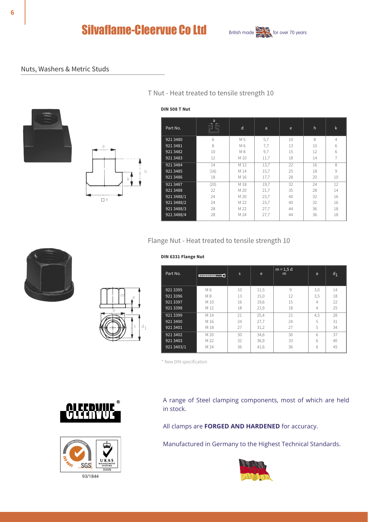



#### Nuts, Washers & Metric Studs





#### T Nut - Heat treated to tensile strength 10

#### **DIN 508 T Nut**

| Part No.                                                                         | a<br>靀                                 | d                                                            | a                                                 | e                                      | h                                     | k                                                     |
|----------------------------------------------------------------------------------|----------------------------------------|--------------------------------------------------------------|---------------------------------------------------|----------------------------------------|---------------------------------------|-------------------------------------------------------|
| 921 3480<br>921 3481<br>921 3482<br>921 3483<br>921 3484<br>921 3485<br>921 3486 | 6<br>8<br>10<br>12<br>14<br>(16)<br>18 | M 5<br>M 6<br>M <sub>8</sub><br>M 10<br>M 12<br>M 14<br>M 16 | 5,7<br>7,7<br>9,7<br>11,7<br>13,7<br>15,7<br>17,7 | 10<br>13<br>15<br>18<br>22<br>25<br>28 | 8<br>10<br>12<br>14<br>16<br>18<br>20 | $\overline{4}$<br>6<br>6<br>8<br>$\overline{q}$<br>10 |
| 921 3487<br>921 3488<br>921 3488/1<br>921 3488/2<br>921 3488/3<br>921 3488/4     | (20)<br>22<br>24<br>24<br>28<br>28     | M 18<br>M 20<br>M 20<br>M 22<br>M 22<br>M 24                 | 19.7<br>21,7<br>23,7<br>23,7<br>27,7<br>27,7      | 32<br>35<br>40<br>40<br>44<br>44       | 24<br>28<br>32<br>32<br>36<br>36      | 12<br>14<br>16<br>16<br>18<br>18                      |

#### Flange Nut - Heat treated to tensile strength 10



# m a e s  $d_1$

#### **DIN 6331 Flange Nut**

| Part No.   | $\begin{array}{c} \hline \text{array} \\ \hline \text{array} \end{array}$ | s  | e    | $m = 1.5 d$<br>m | a        | $d_1$ |
|------------|---------------------------------------------------------------------------|----|------|------------------|----------|-------|
| 921 3395   | M 6                                                                       | 10 | 11,5 | 9                | 3,0      | 14    |
| 921 3396   | M 8                                                                       | 13 | 15,0 | 12               | 3,5      | 18    |
| 921 3397   | M 10                                                                      | 16 | 19,6 | 15               | Δ        | 22    |
| 921 3398   | M 12                                                                      | 18 | 21,9 | 18               | $\Delta$ | 25    |
| 921 3399   | M 14                                                                      | 21 | 25,4 | 21               | 4,5      | 28    |
| 921 3400   | M 16                                                                      | 24 | 27,7 | 24               | 5        | 31    |
| 921 3401   | M 18                                                                      | 27 | 31,2 | 27               | 5        | 34    |
| 921 3402   | M 20                                                                      | 30 | 34,6 | 30               | ĥ.       | 37    |
| 921 3403   | M 22                                                                      | 32 | 36,9 | 33               | 6        | 40    |
| 921 3403/1 | M 24                                                                      | 36 | 41,6 | 36               | ĥ.       | 45    |

\* New DIN specification





A range of Steel clamping components, most of which are held in stock.

All clamps are **FORGED AND HARDENED** for accuracy.

Manufactured in Germany to the Highest Technical Standards.

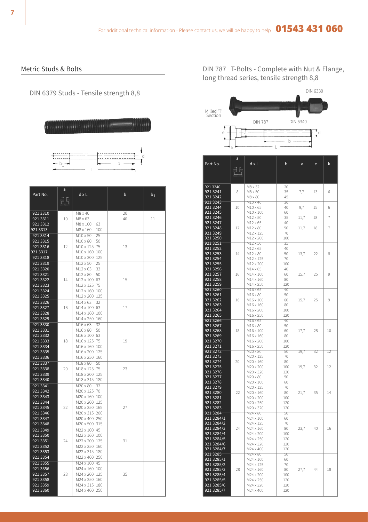Metric Studs & Bolts

DIN 6379 Studs - Tensile strength 8,8

d

L  $b_1 -$  b

| Part No.                                                                                     | a<br>pŀ | dxL                                                                                                                                  | b        | $b_1$ |
|----------------------------------------------------------------------------------------------|---------|--------------------------------------------------------------------------------------------------------------------------------------|----------|-------|
| 921 3310<br>921 3311<br>921 3312<br>921 3313                                                 | 10      | M8 x 40<br>M8 x 63<br>M8 x 100<br>63<br>M8 x 160<br>100                                                                              | 20<br>40 | 11    |
| 921 3314<br>921 3315<br>921 3316<br>921 3317<br>921 3318                                     | 12      | M10 x 50<br>25<br>M10 x 80<br>50<br>M10 x 125 75<br>M10 x 160 100<br>M10 x 200 125                                                   | 13       |       |
| 921 3319<br>921 3320<br>921 3321<br>921 3322<br>921 3323<br>921 3324<br>921 3325             | 14      | M12 x 50<br>25<br>M12 x 63<br>32<br>M12 x 80<br>50<br>M12 x 100 63<br>M12 x 125 75<br>M12 x 160 100<br>M12 x 200 125                 | 15       |       |
| 921 3326<br>921 3327<br>921 3328<br>921 3329                                                 | 16      | $M14 \times 63$<br>32<br>M14 x 100 63<br>M14 x 160 100<br>M14 x 250 160                                                              | 17       |       |
| 921 3330<br>921 3331<br>921 3332<br>921 3333<br>921 3334<br>921 3335<br>921 3336             | 18      | M16 x 63<br>32<br>M16 x 80<br>50<br>M16 x 100 63<br>M16 x 125 75<br>M16 x 160 100<br>M16 x 200 125<br>M16 x 250 160                  | 19       |       |
| 921 3337<br>921 3338<br>921 3339<br>921 3340                                                 | 20      | $M18 \times 80$<br>50<br>M18 x 125 75<br>M18 x 200 125<br>M18 x 315 180                                                              | 23       |       |
| 921 3341<br>921 3342<br>921 3343<br>921 3344<br>921 3345<br>921 3346<br>921 3347<br>921 3348 | 22      | M20 x 80<br>32<br>M20 x 125 70<br>M20 x 160 100<br>M20 x 200 125<br>M20 x 250 165<br>M20 x 315 200<br>M20 x 400 250<br>M20 x 500 315 | 27       |       |
| 921 3349<br>921 3350<br>921 3351<br>921 3352<br>921 3353<br>921 3354                         | 24      | M22 x 100 45<br>M22 x 160 100<br>M22 x 200 125<br>M22 x 250 160<br>M22 x 315 180<br>M22 x 400 250                                    | 31       |       |
| 921 3355<br>921 3356<br>921 3357<br>921 3358<br>921 3359<br>921 3360                         | 28      | M24 x 100 45<br>M24 x 160 100<br>M24 x 200 125<br>M24 x 250 160<br>M24 x 315 180<br>M24 x 400 250                                    | 35       |       |

DIN 787 T-Bolts - Complete with Nut & Flange, long thread series, tensile strength 8,8



| k<br>Part No.<br>dxL<br>b<br>a<br>ė<br>đĘ<br>921 3240<br>M8 x 32<br>20<br>921 3241<br>8<br>M8 x 50<br>35<br>7,7<br>13<br>6<br>921 3242<br>45<br>M8 x 80<br>921 3243<br>30<br>M10 x 40<br>921 3244<br>15<br>6<br>10<br>$M10 \times 65$<br>40<br>9,7<br>921 3245<br>$M10 \times 100$<br>60<br>921 3246<br>M12 x 50<br>35<br>11,7<br>18<br>921 3247<br>M12 x 65<br>40<br>921 3248<br>12<br>M12 x 80<br>50<br>11,7<br>18<br>7<br>921 3249<br>M12 x 125<br>70<br>921 3250<br>M12 x 200<br>100<br>921 3251<br>35<br>M12 x 50 |
|------------------------------------------------------------------------------------------------------------------------------------------------------------------------------------------------------------------------------------------------------------------------------------------------------------------------------------------------------------------------------------------------------------------------------------------------------------------------------------------------------------------------|
|                                                                                                                                                                                                                                                                                                                                                                                                                                                                                                                        |
|                                                                                                                                                                                                                                                                                                                                                                                                                                                                                                                        |
|                                                                                                                                                                                                                                                                                                                                                                                                                                                                                                                        |
|                                                                                                                                                                                                                                                                                                                                                                                                                                                                                                                        |
|                                                                                                                                                                                                                                                                                                                                                                                                                                                                                                                        |
|                                                                                                                                                                                                                                                                                                                                                                                                                                                                                                                        |
|                                                                                                                                                                                                                                                                                                                                                                                                                                                                                                                        |
|                                                                                                                                                                                                                                                                                                                                                                                                                                                                                                                        |
|                                                                                                                                                                                                                                                                                                                                                                                                                                                                                                                        |
|                                                                                                                                                                                                                                                                                                                                                                                                                                                                                                                        |
|                                                                                                                                                                                                                                                                                                                                                                                                                                                                                                                        |
|                                                                                                                                                                                                                                                                                                                                                                                                                                                                                                                        |
|                                                                                                                                                                                                                                                                                                                                                                                                                                                                                                                        |
| 921 3252<br>M12 x 65<br>40                                                                                                                                                                                                                                                                                                                                                                                                                                                                                             |
| 921 3253<br>14<br>$M12 \times 80$<br>50<br>13,7<br>22<br>8                                                                                                                                                                                                                                                                                                                                                                                                                                                             |
| 921 3254<br>M12 x 125<br>70                                                                                                                                                                                                                                                                                                                                                                                                                                                                                            |
| 921 3255<br>M12 x 200<br>100                                                                                                                                                                                                                                                                                                                                                                                                                                                                                           |
| 921 3256<br>M14 x 65<br>40<br>921 3257<br>$M14 \times 100$<br>25<br>9<br>16<br>60<br>15,7                                                                                                                                                                                                                                                                                                                                                                                                                              |
| 921 3258<br>M14 x 160<br>80                                                                                                                                                                                                                                                                                                                                                                                                                                                                                            |
| 921 3259<br>M14 x 250<br>120                                                                                                                                                                                                                                                                                                                                                                                                                                                                                           |
| 921 3260<br>M16 x 65<br>40                                                                                                                                                                                                                                                                                                                                                                                                                                                                                             |
| 921 3261<br>M16 x 80<br>50                                                                                                                                                                                                                                                                                                                                                                                                                                                                                             |
| 921 3262<br>25<br>16<br>M16 x 100<br>60<br>15,7<br>9<br>921 3263<br>M16 x 160<br>80                                                                                                                                                                                                                                                                                                                                                                                                                                    |
| 921 3264<br>M16 x 200<br>100                                                                                                                                                                                                                                                                                                                                                                                                                                                                                           |
| 921 3265<br>M16 x 250<br>120                                                                                                                                                                                                                                                                                                                                                                                                                                                                                           |
| 921 3266<br>M16 x 65<br>40                                                                                                                                                                                                                                                                                                                                                                                                                                                                                             |
| 921 3267<br>M16 x 80<br>50<br>921 3268<br>18<br>M16 x 100<br>60<br>17,7<br>28<br>10                                                                                                                                                                                                                                                                                                                                                                                                                                    |
| 921 3269<br>M16 x 160<br>80                                                                                                                                                                                                                                                                                                                                                                                                                                                                                            |
| 921 3270<br>100<br>M16 x 200                                                                                                                                                                                                                                                                                                                                                                                                                                                                                           |
| 921 3271<br>M16 x 250<br>120                                                                                                                                                                                                                                                                                                                                                                                                                                                                                           |
| 9213272<br>M20 x 80<br>50<br>19,7<br>32<br>12                                                                                                                                                                                                                                                                                                                                                                                                                                                                          |
| 921 3273<br>M20 x 125<br>70<br>921 3274<br>20<br>M20 x 160<br>80                                                                                                                                                                                                                                                                                                                                                                                                                                                       |
| 32<br>921 3275<br>M20 x 200<br>100<br>19,7<br>12                                                                                                                                                                                                                                                                                                                                                                                                                                                                       |
| 921 3276<br>120<br>M20 x 320                                                                                                                                                                                                                                                                                                                                                                                                                                                                                           |
| 921 3277<br>M20 x 80<br>50                                                                                                                                                                                                                                                                                                                                                                                                                                                                                             |
| 921 3278<br>M20 x 100<br>60<br>921 3279<br>M20 x 125<br>70                                                                                                                                                                                                                                                                                                                                                                                                                                                             |
| 921 3280<br>22<br>M20 x 160<br>80<br>21,7<br>35<br>14                                                                                                                                                                                                                                                                                                                                                                                                                                                                  |
| 921 3281<br>M20 x 200<br>100                                                                                                                                                                                                                                                                                                                                                                                                                                                                                           |
| 921 3282<br>M20 x 250<br>120                                                                                                                                                                                                                                                                                                                                                                                                                                                                                           |
| 921 3283<br>M20 x 320<br>120<br>921 3284                                                                                                                                                                                                                                                                                                                                                                                                                                                                               |
| M24 x 80<br>50<br>921 3284/1<br>M24 x 100<br>60                                                                                                                                                                                                                                                                                                                                                                                                                                                                        |
| 921 3284/2<br>70<br>M24 x 125                                                                                                                                                                                                                                                                                                                                                                                                                                                                                          |
| 24<br>23,7<br>40<br>921 3284/3<br>M24 x 160<br>80<br>16                                                                                                                                                                                                                                                                                                                                                                                                                                                                |
| 921 3284/4<br>M24 x 200<br>100                                                                                                                                                                                                                                                                                                                                                                                                                                                                                         |
| 921 3284/5<br>120<br>M24 x 250<br>921 3284/6<br>120<br>M24 x 320                                                                                                                                                                                                                                                                                                                                                                                                                                                       |
| 921 3284/7<br>M24 x 400<br>120                                                                                                                                                                                                                                                                                                                                                                                                                                                                                         |
| 921 3285<br>50<br>M24 x 80                                                                                                                                                                                                                                                                                                                                                                                                                                                                                             |
| 921 3285/1<br>M24 x 100<br>60                                                                                                                                                                                                                                                                                                                                                                                                                                                                                          |
| 70<br>921 3285/2<br>M24 x 125<br>921 3285/3<br>28<br>27,7<br>44<br>18<br>M24 x 160<br>80                                                                                                                                                                                                                                                                                                                                                                                                                               |
| 921 3285/4<br>M24 x 200<br>100                                                                                                                                                                                                                                                                                                                                                                                                                                                                                         |
| 921 3285/5<br>M24 x 250<br>120                                                                                                                                                                                                                                                                                                                                                                                                                                                                                         |
| 921 3285/6<br>120<br>M24 x 320                                                                                                                                                                                                                                                                                                                                                                                                                                                                                         |
| 921 3285/7<br>M24 x 400<br>120                                                                                                                                                                                                                                                                                                                                                                                                                                                                                         |